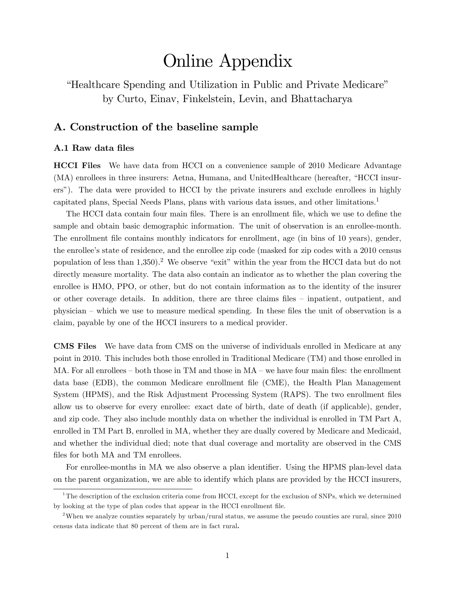# Online Appendix

*Healthcare Spending and Utilization in Public and Private Medicare*" by Curto, Einav, Finkelstein, Levin, and Bhattacharya

### A. Construction of the baseline sample

#### A.1 Raw data files

HCCI Files We have data from HCCI on a convenience sample of 2010 Medicare Advantage (MA) enrollees in three insurers: Aetna, Humana, and UnitedHealthcare (hereafter, "HCCI insurersî). The data were provided to HCCI by the private insurers and exclude enrollees in highly capitated plans, Special Needs Plans, plans with various data issues, and other limitations.<sup>1</sup>

The HCCI data contain four main files. There is an enrollment file, which we use to define the sample and obtain basic demographic information. The unit of observation is an enrollee-month. The enrollment file contains monthly indicators for enrollment, age (in bins of 10 years), gender, the enrollee's state of residence, and the enrollee zip code (masked for zip codes with a 2010 census population of less than  $1,350$ .<sup>2</sup> We observe "exit" within the year from the HCCI data but do not directly measure mortality. The data also contain an indicator as to whether the plan covering the enrollee is HMO, PPO, or other, but do not contain information as to the identity of the insurer or other coverage details. In addition, there are three claims files – inpatient, outpatient, and physician – which we use to measure medical spending. In these files the unit of observation is a claim, payable by one of the HCCI insurers to a medical provider.

CMS Files We have data from CMS on the universe of individuals enrolled in Medicare at any point in 2010. This includes both those enrolled in Traditional Medicare (TM) and those enrolled in  $MA$ . For all enrollees – both those in TM and those in  $MA$  – we have four main files: the enrollment data base (EDB), the common Medicare enrollment file (CME), the Health Plan Management System (HPMS), and the Risk Adjustment Processing System (RAPS). The two enrollment files allow us to observe for every enrollee: exact date of birth, date of death (if applicable), gender, and zip code. They also include monthly data on whether the individual is enrolled in TM Part A, enrolled in TM Part B, enrolled in MA, whether they are dually covered by Medicare and Medicaid, and whether the individual died; note that dual coverage and mortality are observed in the CMS files for both MA and TM enrollees.

For enrollee-months in MA we also observe a plan identifier. Using the HPMS plan-level data on the parent organization, we are able to identify which plans are provided by the HCCI insurers,

<sup>&</sup>lt;sup>1</sup>The description of the exclusion criteria come from HCCI, except for the exclusion of SNPs, which we determined by looking at the type of plan codes that appear in the HCCI enrollment Öle.

<sup>&</sup>lt;sup>2</sup>When we analyze counties separately by urban/rural status, we assume the pseudo counties are rural, since 2010 census data indicate that 80 percent of them are in fact rural.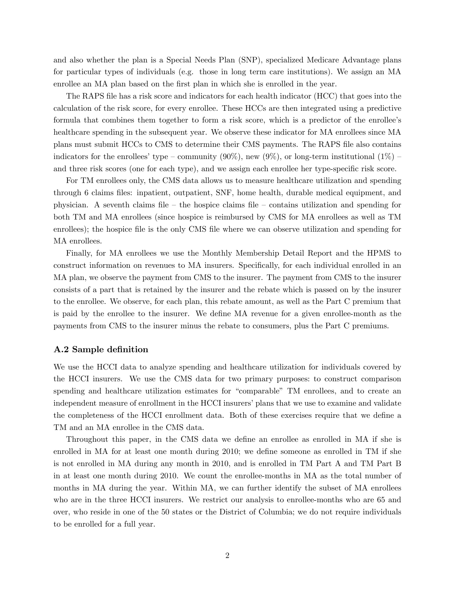and also whether the plan is a Special Needs Plan (SNP), specialized Medicare Advantage plans for particular types of individuals (e.g. those in long term care institutions). We assign an MA enrollee an MA plan based on the first plan in which she is enrolled in the year.

The RAPS file has a risk score and indicators for each health indicator (HCC) that goes into the calculation of the risk score, for every enrollee. These HCCs are then integrated using a predictive formula that combines them together to form a risk score, which is a predictor of the enrollee's healthcare spending in the subsequent year. We observe these indicator for MA enrollees since MA plans must submit HCCs to CMS to determine their CMS payments. The RAPS file also contains indicators for the enrollees' type – community (90%), new (9%), or long-term institutional (1%) – and three risk scores (one for each type), and we assign each enrollee her type-specific risk score.

For TM enrollees only, the CMS data allows us to measure healthcare utilization and spending through 6 claims files: inpatient, outpatient, SNF, home health, durable medical equipment, and physician. A seventh claims file  $-$  the hospice claims file  $-$  contains utilization and spending for both TM and MA enrollees (since hospice is reimbursed by CMS for MA enrollees as well as TM enrollees); the hospice file is the only CMS file where we can observe utilization and spending for MA enrollees.

Finally, for MA enrollees we use the Monthly Membership Detail Report and the HPMS to construct information on revenues to MA insurers. Specifically, for each individual enrolled in an MA plan, we observe the payment from CMS to the insurer. The payment from CMS to the insurer consists of a part that is retained by the insurer and the rebate which is passed on by the insurer to the enrollee. We observe, for each plan, this rebate amount, as well as the Part C premium that is paid by the enrollee to the insurer. We define MA revenue for a given enrollee-month as the payments from CMS to the insurer minus the rebate to consumers, plus the Part C premiums.

#### A.2 Sample definition

We use the HCCI data to analyze spending and healthcare utilization for individuals covered by the HCCI insurers. We use the CMS data for two primary purposes: to construct comparison spending and healthcare utilization estimates for "comparable" TM enrollees, and to create an independent measure of enrollment in the HCCI insurers' plans that we use to examine and validate the completeness of the HCCI enrollment data. Both of these exercises require that we define a TM and an MA enrollee in the CMS data.

Throughout this paper, in the CMS data we define an enrollee as enrolled in MA if she is enrolled in MA for at least one month during  $2010$ ; we define someone as enrolled in TM if she is not enrolled in MA during any month in 2010, and is enrolled in TM Part A and TM Part B in at least one month during 2010. We count the enrollee-months in MA as the total number of months in MA during the year. Within MA, we can further identify the subset of MA enrollees who are in the three HCCI insurers. We restrict our analysis to enrollee-months who are 65 and over, who reside in one of the 50 states or the District of Columbia; we do not require individuals to be enrolled for a full year.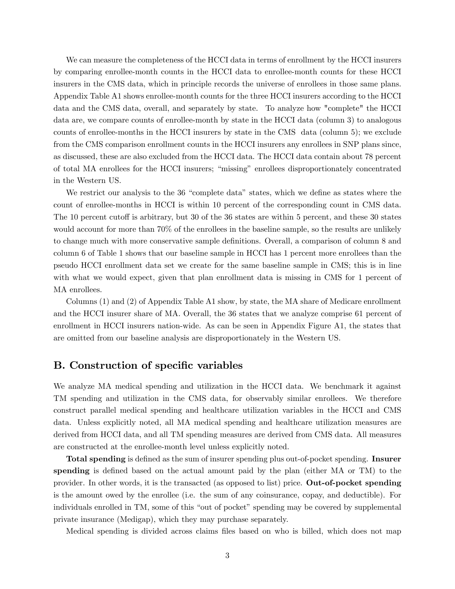We can measure the completeness of the HCCI data in terms of enrollment by the HCCI insurers by comparing enrollee-month counts in the HCCI data to enrollee-month counts for these HCCI insurers in the CMS data, which in principle records the universe of enrollees in those same plans. Appendix Table A1 shows enrollee-month counts for the three HCCI insurers according to the HCCI data and the CMS data, overall, and separately by state. To analyze how "complete" the HCCI data are, we compare counts of enrollee-month by state in the HCCI data (column 3) to analogous counts of enrollee-months in the HCCI insurers by state in the CMS data (column 5); we exclude from the CMS comparison enrollment counts in the HCCI insurers any enrollees in SNP plans since, as discussed, these are also excluded from the HCCI data. The HCCI data contain about 78 percent of total MA enrollees for the HCCI insurers; "missing" enrollees disproportionately concentrated in the Western US.

We restrict our analysis to the 36 "complete data" states, which we define as states where the count of enrollee-months in HCCI is within 10 percent of the corresponding count in CMS data. The 10 percent cutoff is arbitrary, but 30 of the 36 states are within 5 percent, and these 30 states would account for more than 70% of the enrollees in the baseline sample, so the results are unlikely to change much with more conservative sample definitions. Overall, a comparison of column 8 and column 6 of Table 1 shows that our baseline sample in HCCI has 1 percent more enrollees than the pseudo HCCI enrollment data set we create for the same baseline sample in CMS; this is in line with what we would expect, given that plan enrollment data is missing in CMS for 1 percent of MA enrollees.

Columns (1) and (2) of Appendix Table A1 show, by state, the MA share of Medicare enrollment and the HCCI insurer share of MA. Overall, the 36 states that we analyze comprise 61 percent of enrollment in HCCI insurers nation-wide. As can be seen in Appendix Figure A1, the states that are omitted from our baseline analysis are disproportionately in the Western US.

## B. Construction of specific variables

We analyze MA medical spending and utilization in the HCCI data. We benchmark it against TM spending and utilization in the CMS data, for observably similar enrollees. We therefore construct parallel medical spending and healthcare utilization variables in the HCCI and CMS data. Unless explicitly noted, all MA medical spending and healthcare utilization measures are derived from HCCI data, and all TM spending measures are derived from CMS data. All measures are constructed at the enrollee-month level unless explicitly noted.

Total spending is defined as the sum of insurer spending plus out-of-pocket spending. Insurer spending is defined based on the actual amount paid by the plan (either MA or TM) to the provider. In other words, it is the transacted (as opposed to list) price. Out-of-pocket spending is the amount owed by the enrollee (i.e. the sum of any coinsurance, copay, and deductible). For individuals enrolled in TM, some of this "out of pocket" spending may be covered by supplemental private insurance (Medigap), which they may purchase separately.

Medical spending is divided across claims files based on who is billed, which does not map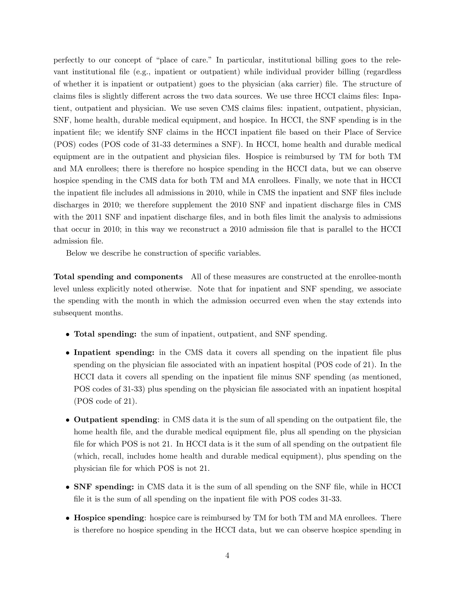perfectly to our concept of "place of care." In particular, institutional billing goes to the relevant institutional file (e.g., inpatient or outpatient) while individual provider billing (regardless of whether it is inpatient or outpatient) goes to the physician (aka carrier) Öle. The structure of claims files is slightly different across the two data sources. We use three HCCI claims files: Inpatient, outpatient and physician. We use seven CMS claims files: inpatient, outpatient, physician, SNF, home health, durable medical equipment, and hospice. In HCCI, the SNF spending is in the inpatient Öle; we identify SNF claims in the HCCI inpatient Öle based on their Place of Service (POS) codes (POS code of 31-33 determines a SNF). In HCCI, home health and durable medical equipment are in the outpatient and physician files. Hospice is reimbursed by TM for both TM and MA enrollees; there is therefore no hospice spending in the HCCI data, but we can observe hospice spending in the CMS data for both TM and MA enrollees. Finally, we note that in HCCI the inpatient file includes all admissions in 2010, while in CMS the inpatient and SNF files include discharges in 2010; we therefore supplement the 2010 SNF and inpatient discharge files in CMS with the 2011 SNF and inpatient discharge files, and in both files limit the analysis to admissions that occur in 2010; in this way we reconstruct a 2010 admission file that is parallel to the HCCI admission file.

Below we describe he construction of specific variables.

Total spending and components All of these measures are constructed at the enrollee-month level unless explicitly noted otherwise. Note that for inpatient and SNF spending, we associate the spending with the month in which the admission occurred even when the stay extends into subsequent months.

- Total spending: the sum of inpatient, outpatient, and SNF spending.
- Inpatient spending: in the CMS data it covers all spending on the inpatient file plus spending on the physician file associated with an inpatient hospital (POS code of  $21$ ). In the HCCI data it covers all spending on the inpatient Öle minus SNF spending (as mentioned, POS codes of 31-33) plus spending on the physician file associated with an inpatient hospital (POS code of 21).
- Outpatient spending: in CMS data it is the sum of all spending on the outpatient Öle, the home health file, and the durable medical equipment file, plus all spending on the physician file for which POS is not 21. In HCCI data is it the sum of all spending on the outpatient file (which, recall, includes home health and durable medical equipment), plus spending on the physician file for which POS is not 21.
- SNF spending: in CMS data it is the sum of all spending on the SNF Öle, while in HCCI file it is the sum of all spending on the inpatient file with POS codes 31-33.
- Hospice spending: hospice care is reimbursed by TM for both TM and MA enrollees. There is therefore no hospice spending in the HCCI data, but we can observe hospice spending in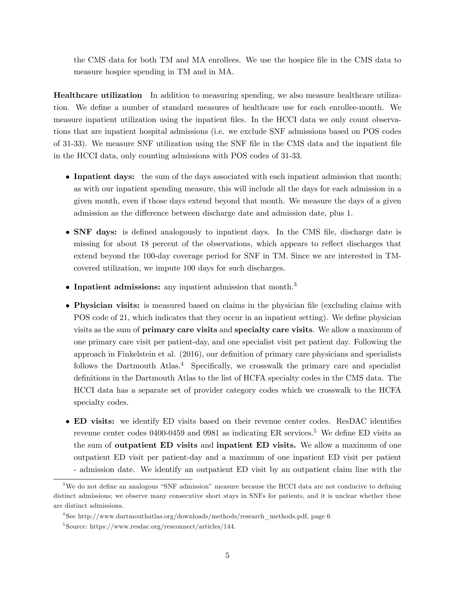the CMS data for both TM and MA enrollees. We use the hospice file in the CMS data to measure hospice spending in TM and in MA.

Healthcare utilization In addition to measuring spending, we also measure healthcare utilization. We define a number of standard measures of healthcare use for each enrollee-month. We measure inpatient utilization using the inpatient files. In the HCCI data we only count observations that are inpatient hospital admissions (i.e. we exclude SNF admissions based on POS codes of 31-33). We measure SNF utilization using the SNF Öle in the CMS data and the inpatient Öle in the HCCI data, only counting admissions with POS codes of 31-33.

- Inpatient days: the sum of the days associated with each inpatient admission that month; as with our inpatient spending measure, this will include all the days for each admission in a given month, even if those days extend beyond that month. We measure the days of a given admission as the difference between discharge date and admission date, plus 1.
- SNF days: is defined analogously to inpatient days. In the CMS file, discharge date is missing for about 18 percent of the observations, which appears to reflect discharges that extend beyond the 100-day coverage period for SNF in TM. Since we are interested in TMcovered utilization, we impute 100 days for such discharges.
- $\bullet$  Inpatient admissions: any inpatient admission that month.<sup>3</sup>
- Physician visits: is measured based on claims in the physician file (excluding claims with POS code of 21, which indicates that they occur in an inpatient setting). We define physician visits as the sum of primary care visits and specialty care visits. We allow a maximum of one primary care visit per patient-day, and one specialist visit per patient day. Following the approach in Finkelstein et al.  $(2016)$ , our definition of primary care physicians and specialists follows the Dartmouth Atlas.<sup>4</sup> Specifically, we crosswalk the primary care and specialist definitions in the Dartmouth Atlas to the list of HCFA specialty codes in the CMS data. The HCCI data has a separate set of provider category codes which we crosswalk to the HCFA specialty codes.
- ED visits: we identify ED visits based on their revenue center codes. ResDAC identifies revenue center codes 0400-0459 and 0981 as indicating ER services.<sup>5</sup> We define ED visits as the sum of outpatient ED visits and inpatient ED visits. We allow a maximum of one outpatient ED visit per patient-day and a maximum of one inpatient ED visit per patient - admission date. We identify an outpatient ED visit by an outpatient claim line with the

 $3\text{We do not define an analogous "SNF admission" measure because the HCCI data are not conductive to defining the system of the system.}$ distinct admissions; we observe many consecutive short stays in SNFs for patients, and it is unclear whether these are distinct admissions.

<sup>4</sup> See http://www.dartmouthatlas.org/downloads/methods/research\_methods.pdf, page 6

<sup>5</sup> Source: https://www.resdac.org/resconnect/articles/144.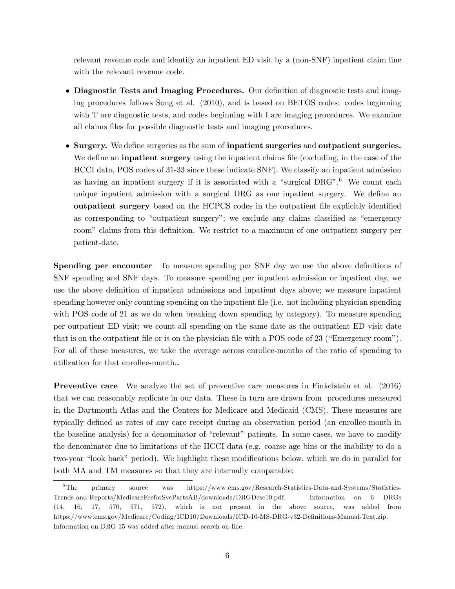relevant revenue code and identify an inpatient ED visit by a (non-SNF) inpatient claim line with the relevant revenue code.

- Diagnostic Tests and Imaging Procedures. Our definition of diagnostic tests and imaging procedures follows Song et al. (2010), and is based on BETOS codes: codes beginning with T are diagnostic tests, and codes beginning with I are imaging procedures. We examine all claims files for possible diagnostic tests and imaging procedures.
- Surgery. We define surgeries as the sum of inpatient surgeries and outpatient surgeries. We define an **inpatient surgery** using the inpatient claims file (excluding, in the case of the HCCI data, POS codes of 31-33 since these indicate SNF). We classify an inpatient admission as having an inpatient surgery if it is associated with a "surgical  $DRG$ ".<sup>6</sup> We count each unique inpatient admission with a surgical DRG as one inpatient surgery. We define an outpatient surgery based on the HCPCS codes in the outpatient file explicitly identified as corresponding to "outpatient surgery"; we exclude any claims classified as "emergency" room" claims from this definition. We restrict to a maximum of one outpatient surgery per patient-date.

**Spending per encounter** To measure spending per SNF day we use the above definitions of SNF spending and SNF days. To measure spending per inpatient admission or inpatient day, we use the above definition of inpatient admissions and inpatient days above; we measure inpatient spending however only counting spending on the inpatient file (i.e. not including physician spending with POS code of 21 as we do when breaking down spending by category). To measure spending per outpatient ED visit; we count all spending on the same date as the outpatient ED visit date that is on the outpatient file or is on the physician file with a POS code of  $23$  ("Emergency room"). For all of these measures, we take the average across enrollee-months of the ratio of spending to utilization for that enrollee-month..

Preventive care We analyze the set of preventive care measures in Finkelstein et al. (2016) that we can reasonably replicate in our data. These in turn are drawn from procedures measured in the Dartmouth Atlas and the Centers for Medicare and Medicaid (CMS). These measures are typically defined as rates of any care receipt during an observation period (an enrollee-month in the baseline analysis) for a denominator of "relevant" patients. In some cases, we have to modify the denominator due to limitations of the HCCI data (e.g. coarse age bins or the inability to do a two-year "look back" period). We highlight these modifications below, which we do in parallel for both MA and TM measures so that they are internally comparable:

<sup>6</sup>The primary source was https://www.cms.gov/Research-Statistics-Data-and-Systems/Statistics-Trends-and-Reports/MedicareFeeforSvcPartsAB/downloads/DRGDesc10.pdf. Information on 6 DRGs (14, 16, 17, 570, 571, 572), which is not present in the above source, was added from https://www.cms.gov/Medicare/Coding/ICD10/Downloads/ICD-10-MS-DRG-v32-Definitions-Manual-Text.zip. Information on DRG 15 was added after manual search on-line.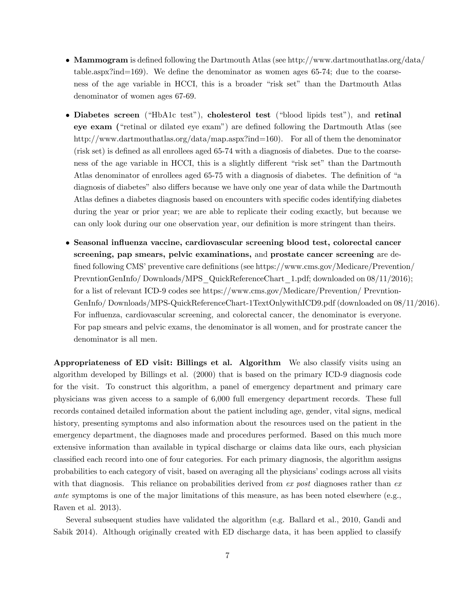- Mammogram is defined following the Dartmouth Atlas (see http://www.dartmouthatlas.org/data/ table.aspx?ind=169). We define the denominator as women ages 65-74; due to the coarseness of the age variable in HCCI, this is a broader "risk set" than the Dartmouth Atlas denominator of women ages 67-69.
- Diabetes screen ("HbA1c test"), cholesterol test ("blood lipids test"), and retinal  $e$ **ye exam** ("retinal or dilated eye exam") are defined following the Dartmouth Atlas (see http://www.dartmouthatlas.org/data/map.aspx?ind=160). For all of them the denominator  $(risk set)$  is defined as all enrollees aged  $65-74$  with a diagnosis of diabetes. Due to the coarseness of the age variable in HCCI, this is a slightly different "risk set" than the Dartmouth Atlas denominator of enrollees aged 65-75 with a diagnosis of diabetes. The definition of "a diagnosis of diabetes" also differs because we have only one year of data while the Dartmouth Atlas defines a diabetes diagnosis based on encounters with specific codes identifying diabetes during the year or prior year; we are able to replicate their coding exactly, but because we can only look during our one observation year, our definition is more stringent than theirs.
- Seasonal influenza vaccine, cardiovascular screening blood test, colorectal cancer screening, pap smears, pelvic examinations, and prostate cancer screening are defined following CMS' preventive care definitions (see https://www.cms.gov/Medicare/Prevention/ PrevntionGenInfo/Downloads/MPS\_QuickReferenceChart\_1.pdf; downloaded on  $08/11/2016$ ); for a list of relevant ICD-9 codes see https://www.cms.gov/Medicare/Prevention/ Prevntion-GenInfo/ Downloads/MPS-QuickReferenceChart-1TextOnlywithICD9.pdf (downloaded on 08/11/2016). For influenza, cardiovascular screening, and colorectal cancer, the denominator is everyone. For pap smears and pelvic exams, the denominator is all women, and for prostrate cancer the denominator is all men.

Appropriateness of ED visit: Billings et al. Algorithm We also classify visits using an algorithm developed by Billings et al. (2000) that is based on the primary ICD-9 diagnosis code for the visit. To construct this algorithm, a panel of emergency department and primary care physicians was given access to a sample of 6,000 full emergency department records. These full records contained detailed information about the patient including age, gender, vital signs, medical history, presenting symptoms and also information about the resources used on the patient in the emergency department, the diagnoses made and procedures performed. Based on this much more extensive information than available in typical discharge or claims data like ours, each physician classified each record into one of four categories. For each primary diagnosis, the algorithm assigns probabilities to each category of visit, based on averaging all the physicians' codings across all visits with that diagnosis. This reliance on probabilities derived from  $ex$  post diagnoses rather than  $ex$ ante symptoms is one of the major limitations of this measure, as has been noted elsewhere (e.g., Raven et al. 2013).

Several subsequent studies have validated the algorithm (e.g. Ballard et al., 2010, Gandi and Sabik 2014). Although originally created with ED discharge data, it has been applied to classify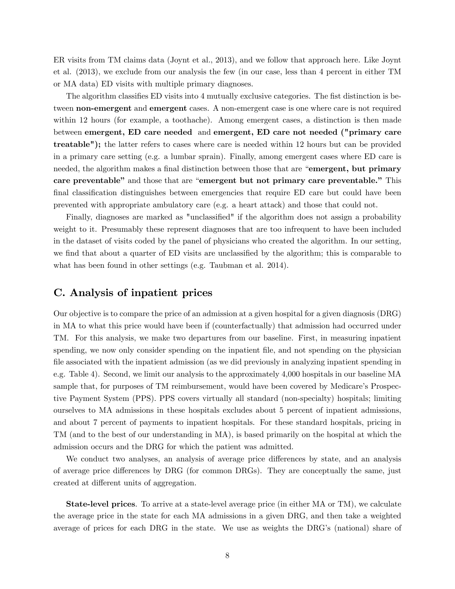ER visits from TM claims data (Joynt et al., 2013), and we follow that approach here. Like Joynt et al. (2013), we exclude from our analysis the few (in our case, less than 4 percent in either TM or MA data) ED visits with multiple primary diagnoses.

The algorithm classifies ED visits into 4 mutually exclusive categories. The fist distinction is between non-emergent and emergent cases. A non-emergent case is one where care is not required within 12 hours (for example, a toothache). Among emergent cases, a distinction is then made between emergent, ED care needed and emergent, ED care not needed ("primary care treatable"); the latter refers to cases where care is needed within 12 hours but can be provided in a primary care setting (e.g. a lumbar sprain). Finally, among emergent cases where ED care is needed, the algorithm makes a final distinction between those that are "**emergent, but primary** care preventable" and those that are "emergent but not primary care preventable." This final classification distinguishes between emergencies that require ED care but could have been prevented with appropriate ambulatory care (e.g. a heart attack) and those that could not.

Finally, diagnoses are marked as "unclassified" if the algorithm does not assign a probability weight to it. Presumably these represent diagnoses that are too infrequent to have been included in the dataset of visits coded by the panel of physicians who created the algorithm. In our setting, we find that about a quarter of ED visits are unclassified by the algorithm; this is comparable to what has been found in other settings (e.g. Taubman et al. 2014).

### C. Analysis of inpatient prices

Our objective is to compare the price of an admission at a given hospital for a given diagnosis (DRG) in MA to what this price would have been if (counterfactually) that admission had occurred under TM. For this analysis, we make two departures from our baseline. First, in measuring inpatient spending, we now only consider spending on the inpatient file, and not spending on the physician file associated with the inpatient admission (as we did previously in analyzing inpatient spending in e.g. Table 4). Second, we limit our analysis to the approximately 4,000 hospitals in our baseline MA sample that, for purposes of TM reimbursement, would have been covered by Medicare's Prospective Payment System (PPS). PPS covers virtually all standard (non-specialty) hospitals; limiting ourselves to MA admissions in these hospitals excludes about 5 percent of inpatient admissions, and about 7 percent of payments to inpatient hospitals. For these standard hospitals, pricing in TM (and to the best of our understanding in MA), is based primarily on the hospital at which the admission occurs and the DRG for which the patient was admitted.

We conduct two analyses, an analysis of average price differences by state, and an analysis of average price differences by DRG (for common DRGs). They are conceptually the same, just created at different units of aggregation.

State-level prices. To arrive at a state-level average price (in either MA or TM), we calculate the average price in the state for each MA admissions in a given DRG, and then take a weighted average of prices for each DRG in the state. We use as weights the DRG's (national) share of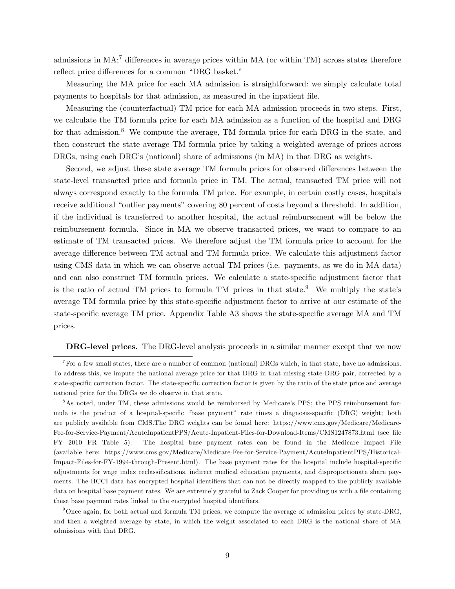admissions in  $MA$ ;<sup>7</sup> differences in average prices within MA (or within TM) across states therefore reflect price differences for a common "DRG basket."

Measuring the MA price for each MA admission is straightforward: we simply calculate total payments to hospitals for that admission, as measured in the inpatient Öle.

Measuring the (counterfactual) TM price for each MA admission proceeds in two steps. First, we calculate the TM formula price for each MA admission as a function of the hospital and DRG for that admission.<sup>8</sup> We compute the average, TM formula price for each DRG in the state, and then construct the state average TM formula price by taking a weighted average of prices across DRGs, using each DRG's (national) share of admissions (in MA) in that DRG as weights.

Second, we adjust these state average TM formula prices for observed differences between the state-level transacted price and formula price in TM. The actual, transacted TM price will not always correspond exactly to the formula TM price. For example, in certain costly cases, hospitals receive additional "outlier payments" covering 80 percent of costs beyond a threshold. In addition, if the individual is transferred to another hospital, the actual reimbursement will be below the reimbursement formula. Since in MA we observe transacted prices, we want to compare to an estimate of TM transacted prices. We therefore adjust the TM formula price to account for the average difference between TM actual and TM formula price. We calculate this adjustment factor using CMS data in which we can observe actual TM prices (i.e. payments, as we do in MA data) and can also construct TM formula prices. We calculate a state-specific adjustment factor that is the ratio of actual TM prices to formula TM prices in that state.<sup>9</sup> We multiply the state's average TM formula price by this state-specific adjustment factor to arrive at our estimate of the state-specific average TM price. Appendix Table A3 shows the state-specific average MA and TM prices.

DRG-level prices. The DRG-level analysis proceeds in a similar manner except that we now

<sup>&</sup>lt;sup>7</sup>For a few small states, there are a number of common (national) DRGs which, in that state, have no admissions. To address this, we impute the national average price for that DRG in that missing state-DRG pair, corrected by a state-specific correction factor. The state-specific correction factor is given by the ratio of the state price and average national price for the DRGs we do observe in that state.

<sup>&</sup>lt;sup>8</sup>As noted, under TM, these admissions would be reimbursed by Medicare's PPS; the PPS reimbursement formula is the product of a hospital-specific "base payment" rate times a diagnosis-specific (DRG) weight; both are publicly available from CMS.The DRG weights can be found here: https://www.cms.gov/Medicare/Medicare-Fee-for-Service-Payment/AcuteInpatientPPS/Acute-Inpatient-Files-for-Download-Items/CMS1247873.html (see file FY\_2010\_FR\_Table\_5). The hospital base payment rates can be found in the Medicare Impact File (available here: https://www.cms.gov/Medicare/Medicare-Fee-for-Service-Payment/AcuteInpatientPPS/Historical-Impact-Files-for-FY-1994-through-Present.html). The base payment rates for the hospital include hospital-specific adjustments for wage index reclassifications, indirect medical education payments, and disproportionate share payments. The HCCI data has encrypted hospital identifiers that can not be directly mapped to the publicly available data on hospital base payment rates. We are extremely grateful to Zack Cooper for providing us with a file containing these base payment rates linked to the encrypted hospital identifiers.

<sup>9</sup>Once again, for both actual and formula TM prices, we compute the average of admission prices by state-DRG, and then a weighted average by state, in which the weight associated to each DRG is the national share of MA admissions with that DRG.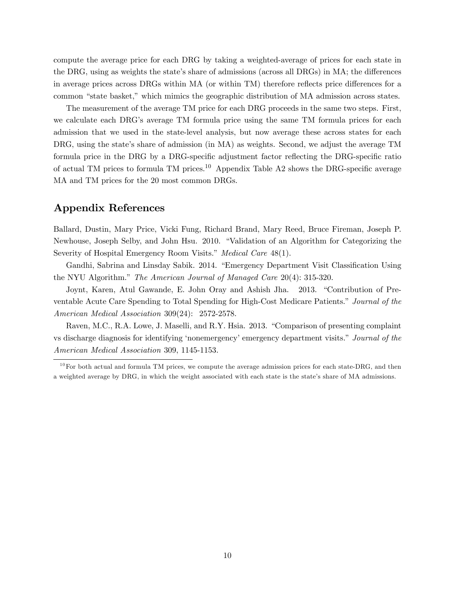compute the average price for each DRG by taking a weighted-average of prices for each state in the DRG, using as weights the state's share of admissions (across all DRGs) in MA; the differences in average prices across DRGs within MA (or within TM) therefore reflects price differences for a common "state basket," which mimics the geographic distribution of MA admission across states.

The measurement of the average TM price for each DRG proceeds in the same two steps. First, we calculate each DRG's average TM formula price using the same TM formula prices for each admission that we used in the state-level analysis, but now average these across states for each DRG, using the state's share of admission (in MA) as weights. Second, we adjust the average TM formula price in the DRG by a DRG-specific adjustment factor reflecting the DRG-specific ratio of actual TM prices to formula TM prices.<sup>10</sup> Appendix Table A2 shows the DRG-specific average MA and TM prices for the 20 most common DRGs.

# Appendix References

Ballard, Dustin, Mary Price, Vicki Fung, Richard Brand, Mary Reed, Bruce Fireman, Joseph P. Newhouse, Joseph Selby, and John Hsu. 2010. "Validation of an Algorithm for Categorizing the Severity of Hospital Emergency Room Visits." Medical Care 48(1).

Gandhi, Sabrina and Linsday Sabik. 2014. "Emergency Department Visit Classification Using the NYU Algorithm." The American Journal of Managed Care  $20(4)$ : 315-320.

Joynt, Karen, Atul Gawande, E. John Oray and Ashish Jha. 2013. "Contribution of Preventable Acute Care Spending to Total Spending for High-Cost Medicare Patients." Journal of the American Medical Association 309(24): 2572-2578.

Raven, M.C., R.A. Lowe, J. Maselli, and R.Y. Hsia. 2013. "Comparison of presenting complaint vs discharge diagnosis for identifying 'nonemergency' emergency department visits." Journal of the American Medical Association 309, 1145-1153.

 $10$  For both actual and formula TM prices, we compute the average admission prices for each state-DRG, and then a weighted average by DRG, in which the weight associated with each state is the stateís share of MA admissions.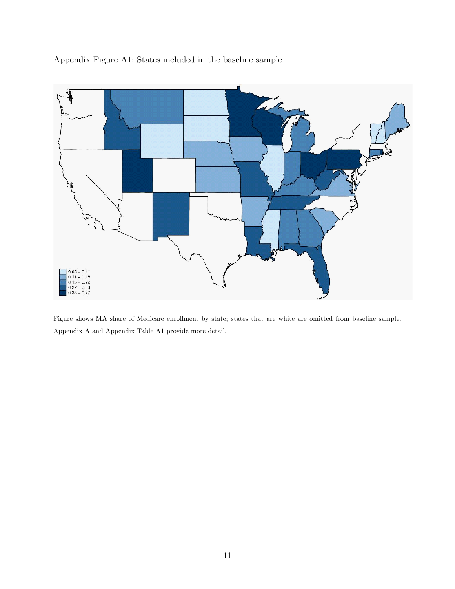Appendix Figure A1: States included in the baseline sample



Figure shows MA share of Medicare enrollment by state; states that are white are omitted from baseline sample. Appendix A and Appendix Table A1 provide more detail.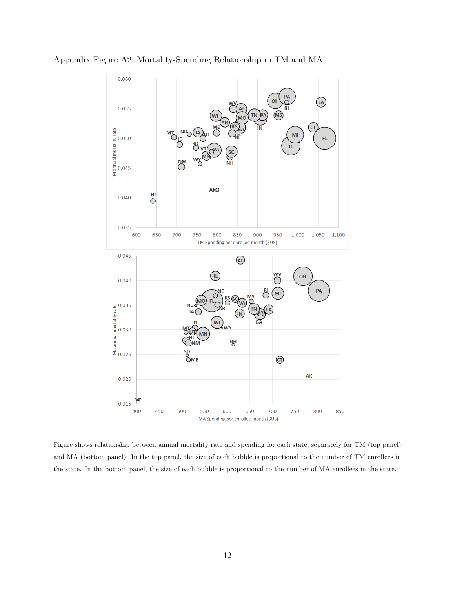

Appendix Figure A2: Mortality-Spending Relationship in TM and MA

Figure shows relationship between annual mortality rate and spending for each state, separately for TM (top panel) and MA (bottom panel). In the top panel, the size of each bubble is proportional to the number of TM enrollees in the state. In the bottom panel, the size of each bubble is proportional to the number of MA enrollees in the state.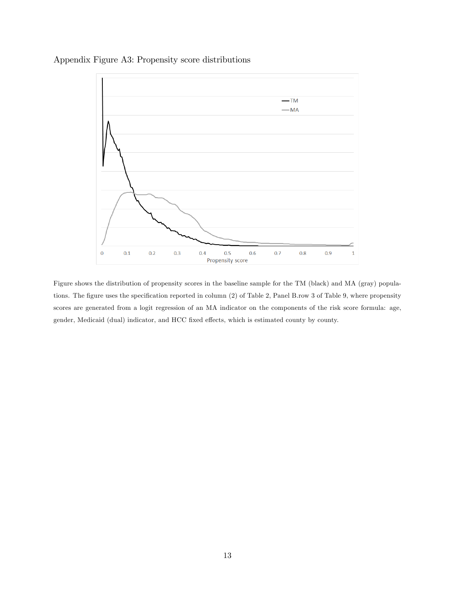Appendix Figure A3: Propensity score distributions



Figure shows the distribution of propensity scores in the baseline sample for the TM (black) and MA (gray) populations. The figure uses the specification reported in column (2) of Table 2, Panel B.row 3 of Table 9, where propensity scores are generated from a logit regression of an MA indicator on the components of the risk score formula: age, gender, Medicaid (dual) indicator, and HCC fixed effects, which is estimated county by county.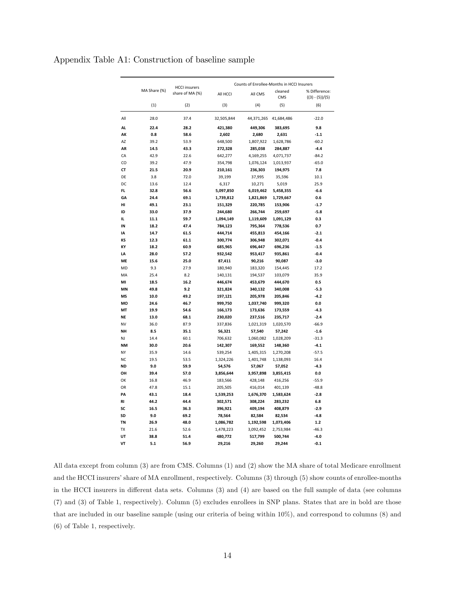|           |              | <b>HCCI</b> insurers | Counts of Enrollee-Months in HCCI Insurers |                     |                |                                  |
|-----------|--------------|----------------------|--------------------------------------------|---------------------|----------------|----------------------------------|
|           | MA Share (%) | share of MA (%)      | All HCCI                                   | All CMS             | cleaned<br>CMS | % Difference:<br>$((3)-(5))/(5)$ |
|           | (1)          | (2)                  | (3)                                        | (4)                 | (5)            | (6)                              |
| All       | 28.0         | 37.4                 | 32,505,844                                 | 44,371,265          | 41,684,486     | $-22.0$                          |
| <b>AL</b> | 22.4         | 28.2                 | 421,380                                    | 449,306             | 383,695        | 9.8                              |
| АK        | 0.8          | 58.6                 | 2,602                                      | 2,680               | 2,631          | $-1.1$                           |
| AZ        | 39.2         | 53.9                 | 648,500                                    | 1,807,922           | 1,628,786      | $-60.2$                          |
| AR        | 14.5         | 43.3                 | 272,328                                    | 285,038             | 284,887        | $-4.4$                           |
| CA        | 42.9         | 22.6                 | 642,277                                    | 4,169,255           | 4,071,737      | $-84.2$                          |
| CO        | 39.2         | 47.9                 | 354,798                                    | 1,076,124           | 1,013,937      | $-65.0$                          |
| СT        | 21.5         | 20.9                 | 210,161                                    | 236,303             | 194,975        | 7.8                              |
| DE        | 3.8          | 72.0                 | 39,199                                     | 37,995              | 35,596         | 10.1                             |
| DC        | 13.6         | 12.4                 | 6,317                                      | 10,271              | 5,019          | 25.9                             |
| FL.       | 32.8         | 56.6                 | 5,097,850                                  | 6,019,462           | 5,458,355      | $-6.6$                           |
| GA        | 24.4         | 69.1                 | 1,739,812                                  | 1,821,869           | 1,729,667      | 0.6                              |
| HI        | 49.1         | 23.1                 | 151,329                                    | 220,785             | 153,906        | $-1.7$                           |
| ID        | 33.0         | 37.9                 | 244,680                                    | 266,744             | 259,697        | $-5.8$                           |
| IL.       | 11.1         | 59.7                 | 1,094,149                                  | 1,119,609           | 1,091,129      | 0.3                              |
| IN        | 18.2         | 47.4                 | 784,123                                    | 795,364             | 778,536        | 0.7                              |
| IA        | 14.7         | 61.5                 | 444,714                                    | 455,813             | 454,166        | $-2.1$                           |
| ΚS        | 12.3         | 61.1                 | 300,774                                    | 306,948             | 302,071        | $-0.4$                           |
| KY        | 18.2         | 60.9                 | 685,965                                    | 696,447             | 696,236        | $-1.5$                           |
| LA        | 28.0         | 57.2                 | 932,542                                    | 953,417             | 935,861        | $-0.4$                           |
| ME        | 15.6         | 25.0                 | 87,411                                     | 90,216              | 90,087         | $-3.0$                           |
| MD        | 9.3          | 27.9                 | 180,940                                    | 183,320             | 154,445        | 17.2                             |
| MA        | 25.4         | 8.2                  | 140,131                                    | 194,537             | 103,079        | 35.9                             |
| MI        | 18.5         | 16.2                 | 446,674                                    | 453,679             | 444,670        | 0.5                              |
| MN        | 49.8         | 9.2                  | 321,824                                    | 340,132             | 340,008        | $-5.3$                           |
| MS        | 10.0         | 49.2                 | 197,121                                    | 205,978             | 205,846        | $-4.2$                           |
| MO        | 24.6         | 46.7                 | 999,750                                    | 1,037,740           | 999,320        | 0.0                              |
| MT        | 19.9         | 54.6                 | 166,173                                    | 173,636             | 173,559        | $-4.3$                           |
| <b>NE</b> | 13.0         | 68.1                 | 230,020                                    | 237,516             | 235,717        | $-2.4$                           |
| <b>NV</b> | 36.0         | 87.9                 | 337,836                                    | 1,021,319           | 1,020,570      | $-66.9$                          |
| <b>NH</b> | 8.5          | 35.1                 | 56,321                                     | 57,540              | 57,242         | $-1.6$                           |
| NJ        | 14.4         | 60.1                 | 706,632                                    | 1,060,082           | 1,028,209      | $-31.3$                          |
| NΜ        | 30.0         | 20.6                 | 142,307                                    | 169,552             | 148,360        | $-4.1$                           |
| NY        | 35.9         | 14.6                 | 539,254                                    | 1,405,315           | 1,270,208      | $-57.5$                          |
| <b>NC</b> | 19.5         | 53.5                 |                                            |                     |                | 16.4                             |
| <b>ND</b> | 9.0          | 59.9                 | 1,324,226<br>54,576                        | 1,401,748<br>57,067 | 1,138,093      | $-4.3$                           |
| OH        |              |                      |                                            |                     | 57,052         |                                  |
|           | 39.4         | 57.0                 | 3,856,644                                  | 3,957,898           | 3,855,415      | 0.0                              |
| OK        | 16.8         | 46.9                 | 183,566                                    | 428,148             | 416,256        | $-55.9$                          |
| OR        | 47.8         | 15.1                 | 205,505                                    | 416,014             | 401,139        | $-48.8$                          |
| PA        | 43.1         | 18.4                 | 1,539,253                                  | 1,676,370           | 1,583,624      | $-2.8$                           |
| RI        | 44.2         | 44.4                 | 302,571                                    | 308,224             | 283,232        | 6.8                              |
| SC        | 16.5         | 36.3                 | 396,921                                    | 409,194             | 408,879        | $-2.9$                           |
| SD        | 9.0          | 69.2                 | 78,564                                     | 82,584              | 82,534         | $-4.8$                           |
| TN        | 26.9         | 48.0                 | 1,086,782                                  | 1,192,598           | 1,073,406      | $1.2$                            |
| ТX        | 21.6         | 52.6                 | 1,478,223                                  | 3,092,452           | 2,753,984      | $-46.3$                          |
| UT        | 38.8         | 51.4                 | 480,772                                    | 517,799             | 500,744        | $-4.0$                           |
| VT        | 5.1          | 56.9                 | 29,216                                     | 29,260              | 29,244         | $-0.1$                           |

Appendix Table A1: Construction of baseline sample

All data except from column (3) are from CMS. Columns (1) and (2) show the MA share of total Medicare enrollment and the HCCI insurers' share of MA enrollment, respectively. Columns (3) through (5) show counts of enrollee-months in the HCCI insurers in different data sets. Columns  $(3)$  and  $(4)$  are based on the full sample of data (see columns (7) and (3) of Table 1, respectively). Column (5) excludes enrollees in SNP plans. States that are in bold are those that are included in our baseline sample (using our criteria of being within 10%), and correspond to columns (8) and (6) of Table 1, respectively.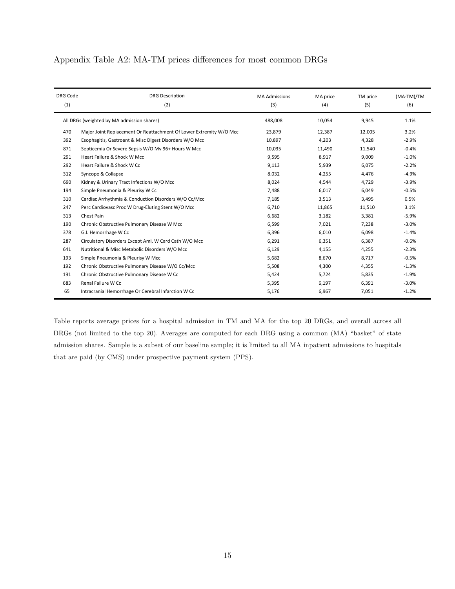## Appendix Table A2: MA-TM prices differences for most common DRGs

| <b>DRG Code</b>                            | <b>DRG Description</b>                                             | <b>MA Admissions</b> | MA price | TM price | (MA-TM)/TM |
|--------------------------------------------|--------------------------------------------------------------------|----------------------|----------|----------|------------|
| (1)                                        | (2)                                                                | (3)                  | (4)      | (5)      | (6)        |
| All DRGs (weighted by MA admission shares) |                                                                    | 488,008              | 10,054   | 9,945    | 1.1%       |
| 470                                        | Major Joint Replacement Or Reattachment Of Lower Extremity W/O Mcc | 23,879               | 12,387   | 12,005   | 3.2%       |
| 392                                        | Esophagitis, Gastroent & Misc Digest Disorders W/O Mcc             | 10,897               | 4,203    | 4,328    | $-2.9%$    |
| 871                                        | Septicemia Or Severe Sepsis W/O Mv 96+ Hours W Mcc                 | 10,035               | 11,490   | 11,540   | $-0.4%$    |
| 291                                        | Heart Failure & Shock W Mcc                                        | 9,595                | 8,917    | 9,009    | $-1.0%$    |
| 292                                        | Heart Failure & Shock W Cc                                         | 9,113                | 5,939    | 6,075    | $-2.2%$    |
| 312                                        | Syncope & Collapse                                                 | 8,032                | 4,255    | 4,476    | $-4.9%$    |
| 690                                        | Kidney & Urinary Tract Infections W/O Mcc                          | 8,024                | 4,544    | 4,729    | $-3.9%$    |
| 194                                        | Simple Pneumonia & Pleurisy W Cc                                   | 7,488                | 6,017    | 6,049    | $-0.5%$    |
| 310                                        | Cardiac Arrhythmia & Conduction Disorders W/O Cc/Mcc               | 7,185                | 3,513    | 3,495    | 0.5%       |
| 247                                        | Perc Cardiovasc Proc W Drug-Eluting Stent W/O Mcc                  | 6,710                | 11,865   | 11,510   | 3.1%       |
| 313                                        | Chest Pain                                                         | 6,682                | 3,182    | 3,381    | $-5.9%$    |
| 190                                        | Chronic Obstructive Pulmonary Disease W Mcc                        | 6,599                | 7,021    | 7,238    | $-3.0%$    |
| 378                                        | G.I. Hemorrhage W Cc                                               | 6,396                | 6,010    | 6,098    | $-1.4%$    |
| 287                                        | Circulatory Disorders Except Ami, W Card Cath W/O Mcc              | 6,291                | 6,351    | 6,387    | $-0.6%$    |
| 641                                        | Nutritional & Misc Metabolic Disorders W/O Mcc                     | 6,129                | 4,155    | 4,255    | $-2.3%$    |
| 193                                        | Simple Pneumonia & Pleurisy W Mcc                                  | 5,682                | 8,670    | 8,717    | $-0.5%$    |
| 192                                        | Chronic Obstructive Pulmonary Disease W/O Cc/Mcc                   | 5,508                | 4,300    | 4,355    | $-1.3%$    |
| 191                                        | Chronic Obstructive Pulmonary Disease W Cc                         | 5,424                | 5,724    | 5,835    | $-1.9%$    |
| 683                                        | Renal Failure W Cc                                                 | 5,395                | 6,197    | 6,391    | $-3.0%$    |
| 65                                         | Intracranial Hemorrhage Or Cerebral Infarction W Cc                | 5,176                | 6,967    | 7,051    | $-1.2%$    |

Table reports average prices for a hospital admission in TM and MA for the top 20 DRGs, and overall across all DRGs (not limited to the top 20). Averages are computed for each DRG using a common (MA) "basket" of state admission shares. Sample is a subset of our baseline sample; it is limited to all MA inpatient admissions to hospitals that are paid (by CMS) under prospective payment system (PPS).